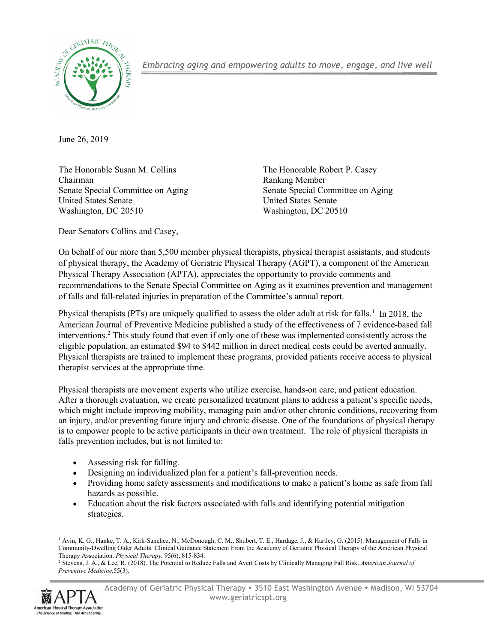

*Embracing aging and empowering adults to move, engage, and live well*

June 26, 2019

The Honorable Susan M. Collins The Honorable Robert P. Casey Chairman Ranking Member Senate Special Committee on Aging Senate Special Committee on Aging United States Senate United States Senate Washington, DC 20510 Washington, DC 20510

Dear Senators Collins and Casey,

On behalf of our more than 5,500 member physical therapists, physical therapist assistants, and students of physical therapy, the Academy of Geriatric Physical Therapy (AGPT), a component of the American Physical Therapy Association (APTA), appreciates the opportunity to provide comments and recommendations to the Senate Special Committee on Aging as it examines prevention and management of falls and fall-related injuries in preparation of the Committee's annual report.

Physical therapists (PTs) are uniquely qualified to assess the older adult at risk for falls.<sup>[1](#page-0-0)</sup> In 2018, the American Journal of Preventive Medicine published a study of the effectiveness of 7 evidence-based fall interventions.[2](#page-0-1) This study found that even if only one of these was implemented consistently across the eligible population, an estimated \$94 to \$442 million in direct medical costs could be averted annually. Physical therapists are trained to implement these programs, provided patients receive access to physical therapist services at the appropriate time.

Physical therapists are movement experts who utilize exercise, hands-on care, and patient education. After a thorough evaluation, we create personalized treatment plans to address a patient's specific needs, which might include improving mobility, managing pain and/or other chronic conditions, recovering from an injury, and/or preventing future injury and chronic disease. One of the foundations of physical therapy is to empower people to be active participants in their own treatment. The role of physical therapists in falls prevention includes, but is not limited to:

- Assessing risk for falling.
- Designing an individualized plan for a patient's fall-prevention needs.
- Providing home safety assessments and modifications to make a patient's home as safe from fall hazards as possible.
- Education about the risk factors associated with falls and identifying potential mitigation strategies.

<span id="page-0-1"></span><span id="page-0-0"></span>*Preventive Medicine*,55(3).



<sup>-</sup><sup>1</sup> Avin, K. G., Hanke, T. A., Kirk-Sanchez, N., McDonough, C. M., Shubert, T. E., Hardage, J., & Hartley, G. (2015). Management of Falls in Community-Dwelling Older Adults: Clinical Guidance Statement From the Academy of Geriatric Physical Therapy of the American Physical Therapy Association. *Physical Therapy.* 95(6), 815-834. 2 Department Physical Stevens, J. A., & Lee, R. (2018). The Potential to Reduce Falls and Avert Costs by Clinically Managing Fall Risk. *American Journal of* <sup>2</sup> Ste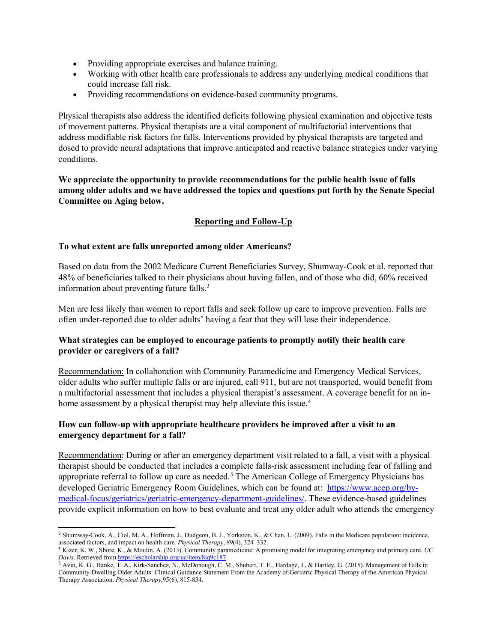- Providing appropriate exercises and balance training.
- Working with other health care professionals to address any underlying medical conditions that could increase fall risk.
- Providing recommendations on evidence-based community programs.

Physical therapists also address the identified deficits following physical examination and objective tests of movement patterns. Physical therapists are a vital component of multifactorial interventions that address modifiable risk factors for falls. Interventions provided by physical therapists are targeted and dosed to provide neural adaptations that improve anticipated and reactive balance strategies under varying conditions.

**We appreciate the opportunity to provide recommendations for the public health issue of falls among older adults and we have addressed the topics and questions put forth by the Senate Special Committee on Aging below.** 

## **Reporting and Follow-Up**

### **To what extent are falls unreported among older Americans?**

Based on data from the 2002 Medicare Current Beneficiaries Survey, Shumway-Cook et al. reported that 48% of beneficiaries talked to their physicians about having fallen, and of those who did, 60% received information about preventing future falls.<sup>[3](#page-1-0)</sup>

Men are less likely than women to report falls and seek follow up care to improve prevention. Falls are often under-reported due to older adults' having a fear that they will lose their independence.

## **What strategies can be employed to encourage patients to promptly notify their health care provider or caregivers of a fall?**

Recommendation: In collaboration with Community Paramedicine and Emergency Medical Services, older adults who suffer multiple falls or are injured, call 911, but are not transported, would benefit from a multifactorial assessment that includes a physical therapist's assessment. A coverage benefit for an in-home assessment by a physical therapist may help alleviate this issue.<sup>[4](#page-1-1)</sup>

## **How can follow-up with appropriate healthcare providers be improved after a visit to an emergency department for a fall?**

Recommendation: During or after an emergency department visit related to a fall, a visit with a physical therapist should be conducted that includes a complete falls-risk assessment including fear of falling and appropriate referral to follow up care as needed.<sup>[5](#page-1-2)</sup> The American College of Emergency Physicians has developed Geriatric Emergency Room Guidelines, which can be found at: [https://www.acep.org/by](https://www.acep.org/by-medical-focus/geriatrics/geriatric-emergency-department-guidelines/)[medical-focus/geriatrics/geriatric-emergency-department-guidelines/.](https://www.acep.org/by-medical-focus/geriatrics/geriatric-emergency-department-guidelines/) These evidence-based guidelines provide explicit information on how to best evaluate and treat any older adult who attends the emergency

<span id="page-1-0"></span> <sup>3</sup> Shumway-Cook, A., Ciol, M. A., Hoffman, J., Dudgeon, B. J., Yorkston, K., & Chan, L. (2009). Falls in the Medicare population: incidence, associated factors, and impact on health care. *Physical Therapy*, *89*(4), 324–332.

<span id="page-1-1"></span><sup>4</sup> Kizer, K. W., Shore, K., & Moulin, A. (2013). Community paramedicine: A promising model for integrating emergency and primary care. *UC Davis.* Retrieved fro[m https://escholarship.org/uc/item/8jq9c187.](https://escholarship.org/uc/item/8jq9c187)

<span id="page-1-2"></span><sup>5</sup> Avin, K. G., Hanke, T. A., Kirk-Sanchez, N., McDonough, C. M., Shubert, T. E., Hardage, J., & Hartley, G. (2015). Management of Falls in Community-Dwelling Older Adults: Clinical Guidance Statement From the Academy of Geriatric Physical Therapy of the American Physical Therapy Association. *Physical Therapy,*95(6), 815-834.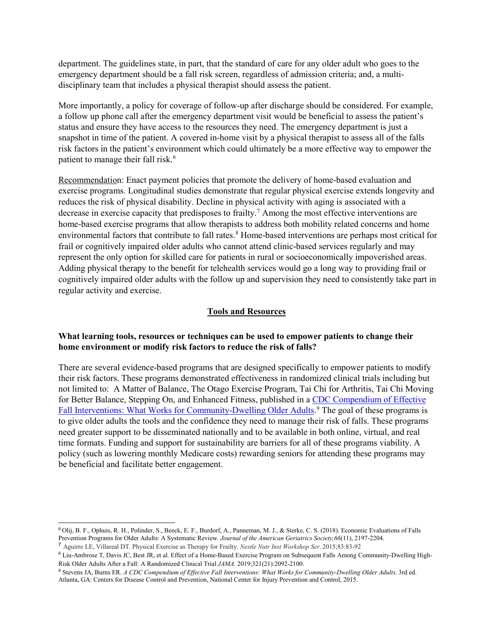department. The guidelines state, in part, that the standard of care for any older adult who goes to the emergency department should be a fall risk screen, regardless of admission criteria; and, a multidisciplinary team that includes a physical therapist should assess the patient.

More importantly, a policy for coverage of follow-up after discharge should be considered. For example, a follow up phone call after the emergency department visit would be beneficial to assess the patient's status and ensure they have access to the resources they need. The emergency department is just a snapshot in time of the patient. A covered in-home visit by a physical therapist to assess all of the falls risk factors in the patient's environment which could ultimately be a more effective way to empower the patient to manage their fall risk. [6](#page-2-0)

Recommendation: Enact payment policies that promote the delivery of home-based evaluation and exercise programs. Longitudinal studies demonstrate that regular physical exercise extends longevity and reduces the risk of physical disability. Decline in physical activity with aging is associated with a decrease in exercise capacity that predisposes to frailty.[7](#page-2-1) Among the most effective interventions are home-based exercise programs that allow therapists to address both mobility related concerns and home environmental factors that contribute to fall rates.<sup>[8](#page-2-2)</sup> Home-based interventions are perhaps most critical for frail or cognitively impaired older adults who cannot attend clinic-based services regularly and may represent the only option for skilled care for patients in rural or socioeconomically impoverished areas. Adding physical therapy to the benefit for telehealth services would go a long way to providing frail or cognitively impaired older adults with the follow up and supervision they need to consistently take part in regular activity and exercise.

#### **Tools and Resources**

### **What learning tools, resources or techniques can be used to empower patients to change their home environment or modify risk factors to reduce the risk of falls?**

There are several evidence-based programs that are designed specifically to empower patients to modify their risk factors. These programs demonstrated effectiveness in randomized clinical trials including but not limited to: A Matter of Balance, The Otago Exercise Program, Tai Chi for Arthritis, Tai Chi Moving for Better Balance, Stepping On, and Enhanced Fitness, published in a [CDC Compendium of Effective](https://www.cdc.gov/homeandrecreationalsafety/pdf/falls/CDC_Falls_Compendium-2015-a.pdf)  [Fall Interventions: What Works for Community-Dwelling Older Adults.](https://www.cdc.gov/homeandrecreationalsafety/pdf/falls/CDC_Falls_Compendium-2015-a.pdf)<sup>[9](#page-2-3)</sup> The goal of these programs is to give older adults the tools and the confidence they need to manage their risk of falls. These programs need greater support to be disseminated nationally and to be available in both online, virtual, and real time formats. Funding and support for sustainability are barriers for all of these programs viability. A policy (such as lowering monthly Medicare costs) rewarding seniors for attending these programs may be beneficial and facilitate better engagement.

<span id="page-2-0"></span> <sup>6</sup> Olij, B. F., Ophuis, R. H., Polinder, S., Beeck, E. F., Burdorf, A., Panneman, M. J., & Sterke, C. S. (2018). Economic Evaluations of Falls Prevention Programs for Older Adults: A Systematic Review. *Journal of the American Geriatrics Society,66*(11), 2197-2204.

<span id="page-2-1"></span><sup>7</sup> Aguirre LE, Villareal DT. Physical Exercise as Therapy for Frailty. *Nestle Nutr Inst Workshop Ser*. 2015;83:83-92

<span id="page-2-2"></span><sup>8</sup> Liu-Ambrose T, Davis JC, Best JR, et al. Effect of a Home-Based Exercise Program on Subsequent Falls Among Community-Dwelling High-Risk Older Adults After a Fall: A Randomized Clinical Trial *JAMA.* 2019;321(21):2092-2100.

<span id="page-2-3"></span><sup>&</sup>lt;sup>9</sup> Stevens JA, Burns ER. *A CDC Compendium of Effective Fall Interventions: What Works for Community-Dwelling Older Adults*. 3rd ed. Atlanta, GA: Centers for Disease Control and Prevention, National Center for Injury Prevention and Control, 2015.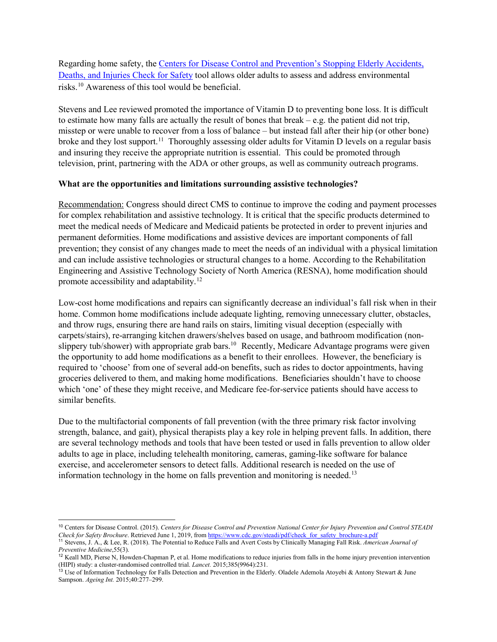Regarding home safety, th[e Centers for Disease Control and Prevention's Stopping Elderly Accidents,](https://www.cdc.gov/steadi/index.html)  [Deaths, and Injuries](https://www.cdc.gov/steadi/index.html) Check for Safety tool allows older adults to assess and address environmental risks. [10](#page-3-0) Awareness of this tool would be beneficial.

Stevens and Lee reviewed promoted the importance of Vitamin D to preventing bone loss. It is difficult to estimate how many falls are actually the result of bones that break – e.g. the patient did not trip, misstep or were unable to recover from a loss of balance – but instead fall after their hip (or other bone) broke and they lost support.<sup>11</sup> Thoroughly assessing older adults for Vitamin D levels on a regular basis and insuring they receive the appropriate nutrition is essential. This could be promoted through television, print, partnering with the ADA or other groups, as well as community outreach programs.

### **What are the opportunities and limitations surrounding assistive technologies?**

Recommendation: Congress should direct CMS to continue to improve the coding and payment processes for complex rehabilitation and assistive technology. It is critical that the specific products determined to meet the medical needs of Medicare and Medicaid patients be protected in order to prevent injuries and permanent deformities. Home modifications and assistive devices are important components of fall prevention; they consist of any changes made to meet the needs of an individual with a physical limitation and can include assistive technologies or structural changes to a home. According to the Rehabilitation Engineering and Assistive Technology Society of North America (RESNA), home modification should promote accessibility and adaptability.[12](#page-3-2)

Low-cost home modifications and repairs can significantly decrease an individual's fall risk when in their home. Common home modifications include adequate lighting, removing unnecessary clutter, obstacles, and throw rugs, ensuring there are hand rails on stairs, limiting visual deception (especially with carpets/stairs), re-arranging kitchen drawers/shelves based on usage, and bathroom modification (nonslippery tub/shower) with appropriate grab bars.<sup>10</sup> Recently, Medicare Advantage programs were given the opportunity to add home modifications as a benefit to their enrollees. However, the beneficiary is required to 'choose' from one of several add-on benefits, such as rides to doctor appointments, having groceries delivered to them, and making home modifications. Beneficiaries shouldn't have to choose which 'one' of these they might receive, and Medicare fee-for-service patients should have access to similar benefits.

Due to the multifactorial components of fall prevention (with the three primary risk factor involving strength, balance, and gait), physical therapists play a key role in helping prevent falls. In addition, there are several technology methods and tools that have been tested or used in falls prevention to allow older adults to age in place, including telehealth monitoring, cameras, gaming-like software for balance exercise, and accelerometer sensors to detect falls. Additional research is needed on the use of information technology in the home on falls prevention and monitoring is needed.<sup>[13](#page-3-3)</sup>

<span id="page-3-0"></span> <sup>10</sup> Centers for Disease Control. (2015). *Centers for Disease Control and Prevention National Center for Injury Prevention and Control STEADI Check for Safety Brochure*. Retrieved June 1, 2019, fro[m https://www.cdc.gov/steadi/pdf/check\\_for\\_safety\\_brochure-a.pdf](https://www.cdc.gov/steadi/pdf/check_for_safety_brochure-a.pdf)

<span id="page-3-1"></span><sup>11</sup> Stevens, J. A., & Lee, R. (2018). The Potential to Reduce Falls and Avert Costs by Clinically Managing Fall Risk. *American Journal of Preventive Medicine*,55(3).

<span id="page-3-2"></span><sup>&</sup>lt;sup>12</sup> Keall MD, Pierse N, Howden-Chapman P, et al. Home modifications to reduce injuries from falls in the home injury prevention intervention (HIPI) study: a cluster-randomised controlled trial. *Lancet.* 2015;385(9964):231.

<span id="page-3-3"></span><sup>&</sup>lt;sup>13</sup> Use of Information Technology for Falls Detection and Prevention in the Elderly. Oladele Ademola Atoyebi & Antony Stewart & June Sampson. *Ageing Int.* 2015;40:277–299.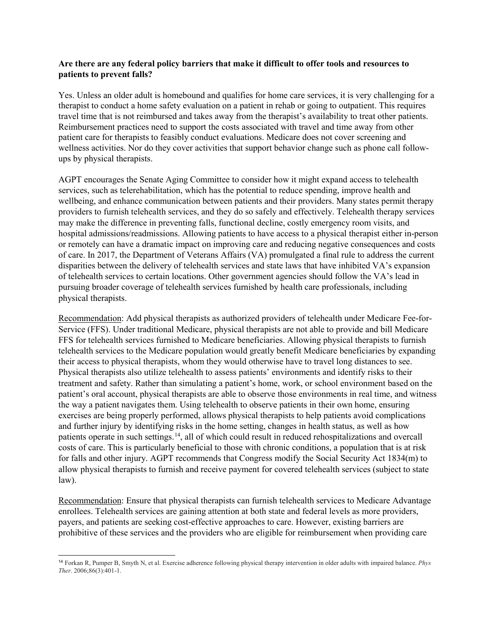### **Are there are any federal policy barriers that make it difficult to offer tools and resources to patients to prevent falls?**

Yes. Unless an older adult is homebound and qualifies for home care services, it is very challenging for a therapist to conduct a home safety evaluation on a patient in rehab or going to outpatient. This requires travel time that is not reimbursed and takes away from the therapist's availability to treat other patients. Reimbursement practices need to support the costs associated with travel and time away from other patient care for therapists to feasibly conduct evaluations. Medicare does not cover screening and wellness activities. Nor do they cover activities that support behavior change such as phone call followups by physical therapists.

AGPT encourages the Senate Aging Committee to consider how it might expand access to telehealth services, such as telerehabilitation, which has the potential to reduce spending, improve health and wellbeing, and enhance communication between patients and their providers. Many states permit therapy providers to furnish telehealth services, and they do so safely and effectively. Telehealth therapy services may make the difference in preventing falls, functional decline, costly emergency room visits, and hospital admissions/readmissions. Allowing patients to have access to a physical therapist either in-person or remotely can have a dramatic impact on improving care and reducing negative consequences and costs of care. In 2017, the Department of Veterans Affairs (VA) promulgated a final rule to address the current disparities between the delivery of telehealth services and state laws that have inhibited VA's expansion of telehealth services to certain locations. Other government agencies should follow the VA's lead in pursuing broader coverage of telehealth services furnished by health care professionals, including physical therapists.

Recommendation: Add physical therapists as authorized providers of telehealth under Medicare Fee-for-Service (FFS). Under traditional Medicare, physical therapists are not able to provide and bill Medicare FFS for telehealth services furnished to Medicare beneficiaries. Allowing physical therapists to furnish telehealth services to the Medicare population would greatly benefit Medicare beneficiaries by expanding their access to physical therapists, whom they would otherwise have to travel long distances to see. Physical therapists also utilize telehealth to assess patients' environments and identify risks to their treatment and safety. Rather than simulating a patient's home, work, or school environment based on the patient's oral account, physical therapists are able to observe those environments in real time, and witness the way a patient navigates them. Using telehealth to observe patients in their own home, ensuring exercises are being properly performed, allows physical therapists to help patients avoid complications and further injury by identifying risks in the home setting, changes in health status, as well as how patients operate in such settings.<sup>[14](#page-4-0)</sup>, all of which could result in reduced rehospitalizations and overcall costs of care. This is particularly beneficial to those with chronic conditions, a population that is at risk for falls and other injury. AGPT recommends that Congress modify the Social Security Act 1834(m) to allow physical therapists to furnish and receive payment for covered telehealth services (subject to state law).

Recommendation: Ensure that physical therapists can furnish telehealth services to Medicare Advantage enrollees. Telehealth services are gaining attention at both state and federal levels as more providers, payers, and patients are seeking cost-effective approaches to care. However, existing barriers are prohibitive of these services and the providers who are eligible for reimbursement when providing care

<span id="page-4-0"></span> <sup>14</sup> Forkan R, Pumper B, Smyth N, et al. Exercise adherence following physical therapy intervention in older adults with impaired balance. *Phys Ther*. 2006;86(3):401-1.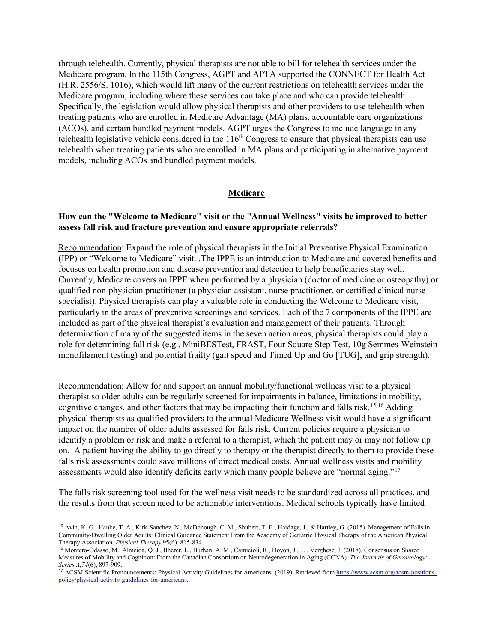through telehealth. Currently, physical therapists are not able to bill for telehealth services under the Medicare program. In the 115th Congress, AGPT and APTA supported the CONNECT for Health Act (H.R. 2556/S. 1016), which would lift many of the current restrictions on telehealth services under the Medicare program, including where these services can take place and who can provide telehealth. Specifically, the legislation would allow physical therapists and other providers to use telehealth when treating patients who are enrolled in Medicare Advantage (MA) plans, accountable care organizations (ACOs), and certain bundled payment models. AGPT urges the Congress to include language in any telehealth legislative vehicle considered in the  $116<sup>th</sup>$  Congress to ensure that physical therapists can use telehealth when treating patients who are enrolled in MA plans and participating in alternative payment models, including ACOs and bundled payment models.

#### **Medicare**

# **How can the "Welcome to Medicare" visit or the "Annual Wellness" visits be improved to better assess fall risk and fracture prevention and ensure appropriate referrals?**

Recommendation: Expand the role of physical therapists in the Initial Preventive Physical Examination (IPP) or "Welcome to Medicare" visit. .The IPPE is an introduction to Medicare and covered benefits and focuses on health promotion and disease prevention and detection to help beneficiaries stay well. Currently, Medicare covers an IPPE when performed by a physician (doctor of medicine or osteopathy) or qualified non-physician practitioner (a physician assistant, nurse practitioner, or certified clinical nurse specialist). Physical therapists can play a valuable role in conducting the Welcome to Medicare visit, particularly in the areas of preventive screenings and services. Each of the 7 components of the IPPE are included as part of the physical therapist's evaluation and management of their patients. Through determination of many of the suggested items in the seven action areas, physical therapists could play a role for determining fall risk (e.g., MiniBESTest, FRAST, Four Square Step Test, 10g Semmes-Weinstein monofilament testing) and potential frailty (gait speed and Timed Up and Go [TUG], and grip strength).

Recommendation: Allow for and support an annual mobility/functional wellness visit to a physical therapist so older adults can be regularly screened for impairments in balance, limitations in mobility, cognitive changes, and other factors that may be impacting their function and falls risk. [15](#page-5-0),[16](#page-5-1) Adding physical therapists as qualified providers to the annual Medicare Wellness visit would have a significant impact on the number of older adults assessed for falls risk. Current policies require a physician to identify a problem or risk and make a referral to a therapist, which the patient may or may not follow up on. A patient having the ability to go directly to therapy or the therapist directly to them to provide these falls risk assessments could save millions of direct medical costs. Annual wellness visits and mobility assessments would also identify deficits early which many people believe are "normal aging."[17](#page-5-2)

The falls risk screening tool used for the wellness visit needs to be standardized across all practices, and the results from that screen need to be actionable interventions. Medical schools typically have limited

<span id="page-5-0"></span> <sup>15</sup> Avin, K. G., Hanke, T. A., Kirk-Sanchez, N., McDonough, C. M., Shubert, T. E., Hardage, J., & Hartley, G. (2015). Management of Falls in Community-Dwelling Older Adults: Clinical Guidance Statement From the Academy of Geriatric Physical Therapy of the American Physical Therapy Association. *Physical Therapy,*95(6), 815-834.

<span id="page-5-1"></span><sup>16</sup> Montero-Odasso, M., Almeida, Q. J., Bherer, L., Burhan, A. M., Camicioli, R., Doyon, J., . . . Verghese, J. (2018). Consensus on Shared Measures of Mobility and Cognition: From the Canadian Consortium on Neurodegeneration in Aging (CCNA). *The Journals of Gerontology: Series A,74*(6), 897-909.

<span id="page-5-2"></span><sup>&</sup>lt;sup>17</sup> ACSM Scientific Pronouncements: Physical Activity Guidelines for Americans. (2019). Retrieved fro[m https://www.acsm.org/acsm-positions](https://www.acsm.org/acsm-positions-policy/physical-activity-guidelines-for-americans)[policy/physical-activity-guidelines-for-americans.](https://www.acsm.org/acsm-positions-policy/physical-activity-guidelines-for-americans)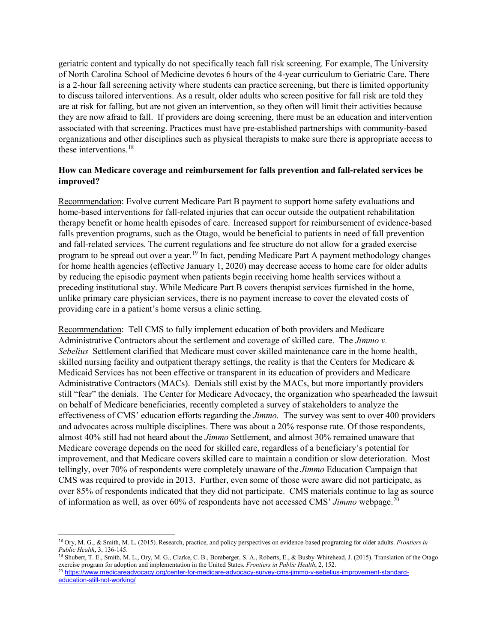geriatric content and typically do not specifically teach fall risk screening. For example, The University of North Carolina School of Medicine devotes 6 hours of the 4-year curriculum to Geriatric Care. There is a 2-hour fall screening activity where students can practice screening, but there is limited opportunity to discuss tailored interventions. As a result, older adults who screen positive for fall risk are told they are at risk for falling, but are not given an intervention, so they often will limit their activities because they are now afraid to fall. If providers are doing screening, there must be an education and intervention associated with that screening. Practices must have pre-established partnerships with community-based organizations and other disciplines such as physical therapists to make sure there is appropriate access to these interventions. [18](#page-6-0)

## **How can Medicare coverage and reimbursement for falls prevention and fall-related services be improved?**

Recommendation: Evolve current Medicare Part B payment to support home safety evaluations and home-based interventions for fall-related injuries that can occur outside the outpatient rehabilitation therapy benefit or home health episodes of care. Increased support for reimbursement of evidence-based falls prevention programs, such as the Otago, would be beneficial to patients in need of fall prevention and fall-related services. The current regulations and fee structure do not allow for a graded exercise program to be spread out over a year. [19](#page-6-1) In fact, pending Medicare Part A payment methodology changes for home health agencies (effective January 1, 2020) may decrease access to home care for older adults by reducing the episodic payment when patients begin receiving home health services without a preceding institutional stay. While Medicare Part B covers therapist services furnished in the home, unlike primary care physician services, there is no payment increase to cover the elevated costs of providing care in a patient's home versus a clinic setting.

Recommendation: Tell CMS to fully implement education of both providers and Medicare Administrative Contractors about the settlement and coverage of skilled care. The *Jimmo v. Sebelius* Settlement clarified that Medicare must cover skilled maintenance care in the home health, skilled nursing facility and outpatient therapy settings, the reality is that the Centers for Medicare & Medicaid Services has not been effective or transparent in its education of providers and Medicare Administrative Contractors (MACs). Denials still exist by the MACs, but more importantly providers still "fear" the denials. The Center for Medicare Advocacy, the organization who spearheaded the lawsuit on behalf of Medicare beneficiaries, recently completed a survey of stakeholders to analyze the effectiveness of CMS' education efforts regarding the *Jimmo.* The survey was sent to over 400 providers and advocates across multiple disciplines. There was about a 20% response rate. Of those respondents, almost 40% still had not heard about the *Jimmo* Settlement, and almost 30% remained unaware that Medicare coverage depends on the need for skilled care, regardless of a beneficiary's potential for improvement, and that Medicare covers skilled care to maintain a condition or slow deterioration. Most tellingly, over 70% of respondents were completely unaware of the *Jimmo* Education Campaign that CMS was required to provide in 2013. Further, even some of those were aware did not participate, as over 85% of respondents indicated that they did not participate. CMS materials continue to lag as source of information as well, as over 60% of respondents have not accessed CMS' *Jimmo* webpage.[20](#page-6-2)

<span id="page-6-0"></span> <sup>18</sup> Ory, M. G., & Smith, M. L. (2015). Research, practice, and policy perspectives on evidence-based programing for older adults. *Frontiers in Public Health*, 3, 136-145.

<span id="page-6-1"></span><sup>19</sup> Shubert, T. E., Smith, M. L., Ory, M. G., Clarke, C. B., Bomberger, S. A., Roberts, E., & Busby-Whitehead, J. (2015). Translation of the Otago exercise program for adoption and implementation in the United States. *Frontiers in Public Health*, 2, 152.

<span id="page-6-2"></span><sup>&</sup>lt;sup>20</sup> [https://www.medicareadvocacy.org/center-for-medicare-advocacy-survey-cms-jimmo-v-sebelius-improvement-standard](https://www.medicareadvocacy.org/center-for-medicare-advocacy-survey-cms-jimmo-v-sebelius-improvement-standard-education-still-not-working/)[education-still-not-working/](https://www.medicareadvocacy.org/center-for-medicare-advocacy-survey-cms-jimmo-v-sebelius-improvement-standard-education-still-not-working/)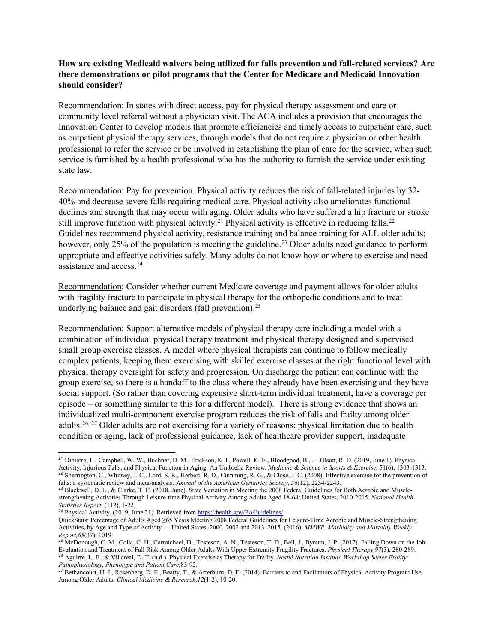## **How are existing Medicaid waivers being utilized for falls prevention and fall-related services? Are there demonstrations or pilot programs that the Center for Medicare and Medicaid Innovation should consider?**

Recommendation: In states with direct access, pay for physical therapy assessment and care or community level referral without a physician visit. The ACA includes a provision that encourages the Innovation Center to develop models that promote efficiencies and timely access to outpatient care, such as outpatient physical therapy services, through models that do not require a physician or other health professional to refer the service or be involved in establishing the plan of care for the service, when such service is furnished by a health professional who has the authority to furnish the service under existing state law.

Recommendation: Pay for prevention. Physical activity reduces the risk of fall-related injuries by 32- 40% and decrease severe falls requiring medical care. Physical activity also ameliorates functional declines and strength that may occur with aging. Older adults who have suffered a hip fracture or stroke still improve function with physical activity.<sup>[21](#page-7-0)</sup> Physical activity is effective in reducing falls.<sup>[22](#page-7-1)</sup> Guidelines recommend physical activity, resistance training and balance training for ALL older adults; however, only 25% of the population is meeting the guideline.<sup>[23](#page-7-2)</sup> Older adults need guidance to perform appropriate and effective activities safely. Many adults do not know how or where to exercise and need assistance and access.[24](#page-7-3)

Recommendation: Consider whether current Medicare coverage and payment allows for older adults with fragility fracture to participate in physical therapy for the orthopedic conditions and to treat underlying balance and gait disorders (fall prevention).<sup>[25](#page-7-4)</sup>

Recommendation: Support alternative models of physical therapy care including a model with a combination of individual physical therapy treatment and physical therapy designed and supervised small group exercise classes. A model where physical therapists can continue to follow medically complex patients, keeping them exercising with skilled exercise classes at the right functional level with physical therapy oversight for safety and progression. On discharge the patient can continue with the group exercise, so there is a handoff to the class where they already have been exercising and they have social support. (So rather than covering expensive short-term individual treatment, have a coverage per episode – or something similar to this for a different model). There is strong evidence that shows an individualized multi-component exercise program reduces the risk of falls and frailty among older adults.<sup>[26](#page-7-5), [27](#page-7-6)</sup> Older adults are not exercising for a variety of reasons: physical limitation due to health condition or aging, lack of professional guidance, lack of healthcare provider support, inadequate

<span id="page-7-0"></span> <sup>21</sup> Dipietro, L., Campbell, W. W., Buchner, D. M., Erickson, K. I., Powell, K. E., Bloodgood, B., . . .Olson, R. D. (2019, June 1). Physical Activity, Injurious Falls, and Physical Function in Aging: An Umbrella Review. *Medicine & Science in Sports & Exercise*, 51(6), 1303-1313.  $^{22}$  Sherrington, C., Whitney, J. C., Lord, S. R., Herbert, R. D., Cumming, R. G., & Close, J. C. (2008). Effective exercise for the prevention of falls: a systematic review and meta-analysis. Journal of the American Geriatrics Society, 56(12), 2234-2243.<br><sup>23</sup> Blackwell, D. L., & Clarke, T. C. (2018, June). State Variation in Meeting the 2008 Federal Guidelines for B

<span id="page-7-2"></span><span id="page-7-1"></span>strengthening Activities Through Leisure-time Physical Activity Among Adults Aged 18-64: United States, 2010-2015. *National Health Statistics Report,* (112), 1-22.

<span id="page-7-3"></span><sup>&</sup>lt;sup>24</sup> Physical Activity. (2019, June 21). Retrieved from [https://health.gov/PAGuidelines/.](https://health.gov/PAGuidelines/)

QuickStats: Percentage of Adults Aged ≥65 Years Meeting 2008 Federal Guidelines for Leisure-Time Aerobic and Muscle-Strengthening Activities, by Age and Type of Activity — United States, 2000–2002 and 2013–2015. (2016). *MMWR. Morbidity and Mortality Weekly Report,65*(37), 1019.

<span id="page-7-4"></span><sup>&</sup>lt;sup>25</sup> McDonough, C. M., Colla, C. H., Carmichael, D., Tosteson, A. N., Tosteson, T. D., Bell, J., Bynum, J. P. (2017). Falling Down on the Job: Evaluation and Treatment of Fall Risk Among Older Adults With Upper Extremity Fragility Fractures. *Physical Therapy,97*(3), 280-289. <sup>26</sup> Aguirre, L. E., & Villareal, D. T. (n.d.). Physical Exercise as Therapy for Frailty. *Nestlé Nutrition Institute Workshop Series Frailty: Pathophysiology, Phenotype and Patient Care,*83-92.

<span id="page-7-6"></span><span id="page-7-5"></span><sup>&</sup>lt;sup>27</sup> Bethancourt, H. J., Rosenberg, D. E., Beatty, T., & Arterburn, D. E. (2014). Barriers to and Facilitators of Physical Activity Program Use Among Older Adults. *Clinical Medicine & Research,12*(1-2), 10-20.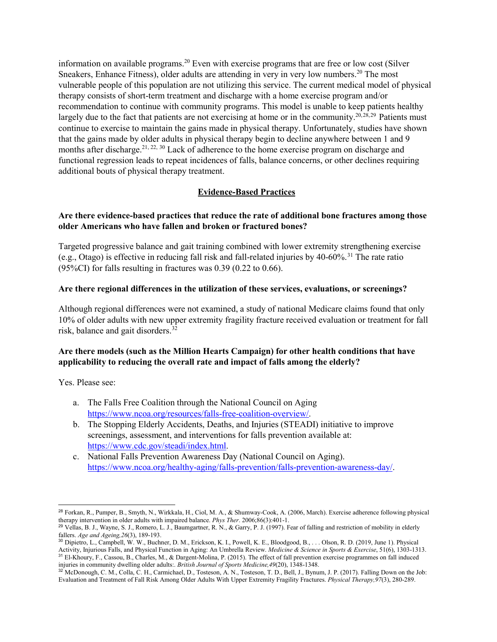information on available programs. <sup>20</sup> Even with exercise programs that are free or low cost (Silver Sneakers, Enhance Fitness), older adults are attending in very in very low numbers.20 The most vulnerable people of this population are not utilizing this service. The current medical model of physical therapy consists of short-term treatment and discharge with a home exercise program and/or recommendation to continue with community programs. This model is unable to keep patients healthy largely due to the fact that patients are not exercising at home or in the community.<sup>20,[28](#page-8-0),[29](#page-8-1)</sup> Patients must continue to exercise to maintain the gains made in physical therapy. Unfortunately, studies have shown that the gains made by older adults in physical therapy begin to decline anywhere between 1 and 9 months after discharge.<sup>21, 22, [30](#page-8-2)</sup> Lack of adherence to the home exercise program on discharge and functional regression leads to repeat incidences of falls, balance concerns, or other declines requiring additional bouts of physical therapy treatment.

# **Evidence-Based Practices**

## **Are there evidence-based practices that reduce the rate of additional bone fractures among those older Americans who have fallen and broken or fractured bones?**

Targeted progressive balance and gait training combined with lower extremity strengthening exercise (e.g., Otago) is effective in reducing fall risk and fall-related injuries by  $40-60\%$ .<sup>[31](#page-8-3)</sup> The rate ratio  $(95\%CI)$  for falls resulting in fractures was 0.39 (0.22 to 0.66).

### **Are there regional differences in the utilization of these services, evaluations, or screenings?**

Although regional differences were not examined, a study of national Medicare claims found that only 10% of older adults with new upper extremity fragility fracture received evaluation or treatment for fall risk, balance and gait disorders. [32](#page-8-4)

## **Are there models (such as the Million Hearts Campaign) for other health conditions that have applicability to reducing the overall rate and impact of falls among the elderly?**

Yes. Please see:

- a. The Falls Free Coalition through the National Council on Aging [https://www.ncoa.org/resources/falls-free-coalition-overview/.](https://www.ncoa.org/resources/falls-free-coalition-overview/)
- b. The Stopping Elderly Accidents, Deaths, and Injuries (STEADI) initiative to improve screenings, assessment, and interventions for falls prevention available at: [https://www.cdc.gov/steadi/index.html.](https://www.cdc.gov/steadi/index.html)
- c. National Falls Prevention Awareness Day (National Council on Aging). [https://www.ncoa.org/healthy-aging/falls-prevention/falls-prevention-awareness-day/.](https://www.ncoa.org/healthy-aging/falls-prevention/falls-prevention-awareness-day/)

<span id="page-8-0"></span> <sup>28</sup> Forkan, R., Pumper, B., Smyth, N., Wirkkala, H., Ciol, M. A., & Shumway-Cook, A. (2006, March). Exercise adherence following physical therapy intervention in older adults with impaired balance. *Phys Ther*. 2006;86(3):401-1.

<span id="page-8-1"></span><sup>&</sup>lt;sup>29</sup> Vellas, B. J., Wayne, S. J., Romero, L. J., Baumgartner, R. N., & Garry, P. J. (1997). Fear of falling and restriction of mobility in elderly fallers. *Age and Ageing,26*(3), 189-193.

<span id="page-8-2"></span><sup>30</sup> Dipietro, L., Campbell, W. W., Buchner, D. M., Erickson, K. I., Powell, K. E., Bloodgood, B., . . . Olson, R. D. (2019, June 1). Physical Activity, Injurious Falls, and Physical Function in Aging: An Umbrella Review. *Medicine & Science in Sports & Exercise*, 51(6), 1303-1313. <sup>31</sup> El-Khoury, F., Cassou, B., Charles, M., & Dargent-Molina, P. (2015). The effect of fall prevention exercise programmes on fall induced injuries in community dwelling older adults:. *British Journal of Sports Medicine,49*(20), 1348-1348.

<span id="page-8-4"></span><span id="page-8-3"></span><sup>32</sup> McDonough, C. M., Colla, C. H., Carmichael, D., Tosteson, A. N., Tosteson, T. D., Bell, J., Bynum, J. P. (2017). Falling Down on the Job: Evaluation and Treatment of Fall Risk Among Older Adults With Upper Extremity Fragility Fractures. *Physical Therapy,97*(3), 280-289.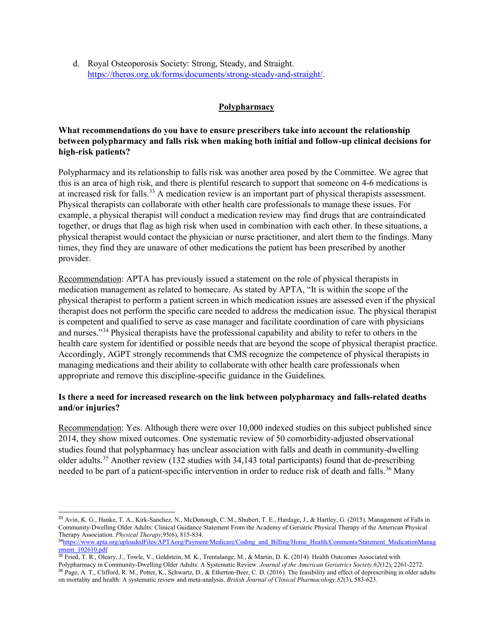d. Royal Osteoporosis Society: Strong, Steady, and Straight. [https://theros.org.uk/forms/documents/strong-steady-and-straight/.](https://theros.org.uk/forms/documents/strong-steady-and-straight/)

### **Polypharmacy**

# **What recommendations do you have to ensure prescribers take into account the relationship between polypharmacy and falls risk when making both initial and follow-up clinical decisions for high-risk patients?**

Polypharmacy and its relationship to falls risk was another area posed by the Committee. We agree that this is an area of high risk, and there is plentiful research to support that someone on 4-6 medications is at increased risk for falls.<sup>[33](#page-9-0)</sup> A medication review is an important part of physical therapists assessment. Physical therapists can collaborate with other health care professionals to manage these issues. For example, a physical therapist will conduct a medication review may find drugs that are contraindicated together, or drugs that flag as high risk when used in combination with each other. In these situations, a physical therapist would contact the physician or nurse practitioner, and alert them to the findings. Many times, they find they are unaware of other medications the patient has been prescribed by another provider.

Recommendation: APTA has previously issued a statement on the role of physical therapists in medication management as related to homecare. As stated by APTA, "It is within the scope of the physical therapist to perform a patient screen in which medication issues are assessed even if the physical therapist does not perform the specific care needed to address the medication issue. The physical therapist is competent and qualified to serve as case manager and facilitate coordination of care with physicians and nurses."[34](#page-9-1) Physical therapists have the professional capability and ability to refer to others in the health care system for identified or possible needs that are beyond the scope of physical therapist practice. Accordingly, AGPT strongly recommends that CMS recognize the competence of physical therapists in managing medications and their ability to collaborate with other health care professionals when appropriate and remove this discipline-specific guidance in the Guidelines.

## **Is there a need for increased research on the link between polypharmacy and falls-related deaths and/or injuries?**

Recommendation: Yes. Although there were over 10,000 indexed studies on this subject published since 2014, they show mixed outcomes. One systematic review of 50 comorbidity-adjusted observational studies found that polypharmacy has unclear association with falls and death in community-dwelling older adults. [35](#page-9-2) Another review (132 studies with 34,143 total participants) found that de-prescribing needed to be part of a patient-specific intervention in order to reduce risk of death and falls.<sup>[36](#page-9-3)</sup> Many

<span id="page-9-0"></span> <sup>33</sup> Avin, K. G., Hanke, T. A., Kirk-Sanchez, N., McDonough, C. M., Shubert, T. E., Hardage, J., & Hartley, G. (2015). Management of Falls in Community-Dwelling Older Adults: Clinical Guidance Statement From the Academy of Geriatric Physical Therapy of the American Physical Therapy Association. *Physical Therapy,*95(6), 815-834.

<span id="page-9-1"></span><sup>&</sup>lt;sup>34</sup>[https://www.apta.org/uploadedFiles/APTAorg/Payment/Medicare/Coding\\_and\\_Billing/Home\\_Health/Comments/Statement\\_MedicationManag](https://www.apta.org/uploadedFiles/APTAorg/Payment/Medicare/Coding_and_Billing/Home_Health/Comments/Statement_MedicationManagement_102610.pdf) [ement\\_102610.pdf](https://www.apta.org/uploadedFiles/APTAorg/Payment/Medicare/Coding_and_Billing/Home_Health/Comments/Statement_MedicationManagement_102610.pdf)

<span id="page-9-3"></span><span id="page-9-2"></span><sup>&</sup>lt;sup>35</sup> Fried, T. R., Oleary, J., Towle, V., Goldstein, M. K., Trentalange, M., & Martin, D. K. (2014). Health Outcomes Associated with Polypharmacy in Community-Dwelling Older Adults: A Systematic Review. *Journal of the American Geriatrics Society,62*(12), 2261-2272. <sup>36</sup> Page, A. T., Clifford, R. M., Potter, K., Schwartz, D., & Etherton‐Beer, C. D. (2016). The feasibility and effect of deprescribing in older adults on mortality and health: A systematic review and meta‐analysis. *British Journal of Clinical Pharmacology,82*(3), 583-623.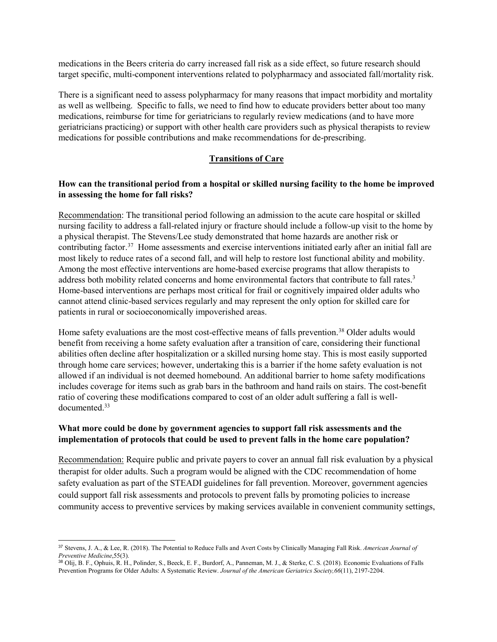medications in the Beers criteria do carry increased fall risk as a side effect, so future research should target specific, multi-component interventions related to polypharmacy and associated fall/mortality risk.

There is a significant need to assess polypharmacy for many reasons that impact morbidity and mortality as well as wellbeing. Specific to falls, we need to find how to educate providers better about too many medications, reimburse for time for geriatricians to regularly review medications (and to have more geriatricians practicing) or support with other health care providers such as physical therapists to review medications for possible contributions and make recommendations for de-prescribing.

### **Transitions of Care**

## **How can the transitional period from a hospital or skilled nursing facility to the home be improved in assessing the home for fall risks?**

Recommendation: The transitional period following an admission to the acute care hospital or skilled nursing facility to address a fall-related injury or fracture should include a follow-up visit to the home by a physical therapist. The Stevens/Lee study demonstrated that home hazards are another risk or contributing factor[.37](#page-10-0) Home assessments and exercise interventions initiated early after an initial fall are most likely to reduce rates of a second fall, and will help to restore lost functional ability and mobility. Among the most effective interventions are home-based exercise programs that allow therapists to address both mobility related concerns and home environmental factors that contribute to fall rates.<sup>3</sup> Home-based interventions are perhaps most critical for frail or cognitively impaired older adults who cannot attend clinic-based services regularly and may represent the only option for skilled care for patients in rural or socioeconomically impoverished areas.

Home safety evaluations are the most cost-effective means of falls prevention. [38](#page-10-1) Older adults would benefit from receiving a home safety evaluation after a transition of care, considering their functional abilities often decline after hospitalization or a skilled nursing home stay. This is most easily supported through home care services; however, undertaking this is a barrier if the home safety evaluation is not allowed if an individual is not deemed homebound. An additional barrier to home safety modifications includes coverage for items such as grab bars in the bathroom and hand rails on stairs. The cost-benefit ratio of covering these modifications compared to cost of an older adult suffering a fall is welldocumented. 33

## **What more could be done by government agencies to support fall risk assessments and the implementation of protocols that could be used to prevent falls in the home care population?**

Recommendation: Require public and private payers to cover an annual fall risk evaluation by a physical therapist for older adults. Such a program would be aligned with the CDC recommendation of home safety evaluation as part of the STEADI guidelines for fall prevention. Moreover, government agencies could support fall risk assessments and protocols to prevent falls by promoting policies to increase community access to preventive services by making services available in convenient community settings,

<span id="page-10-0"></span> <sup>37</sup> Stevens, J. A., & Lee, R. (2018). The Potential to Reduce Falls and Avert Costs by Clinically Managing Fall Risk. *American Journal of Preventive Medicine*,55(3).

<span id="page-10-1"></span><sup>38</sup> Olij, B. F., Ophuis, R. H., Polinder, S., Beeck, E. F., Burdorf, A., Panneman, M. J., & Sterke, C. S. (2018). Economic Evaluations of Falls Prevention Programs for Older Adults: A Systematic Review. *Journal of the American Geriatrics Society,66*(11), 2197-2204.